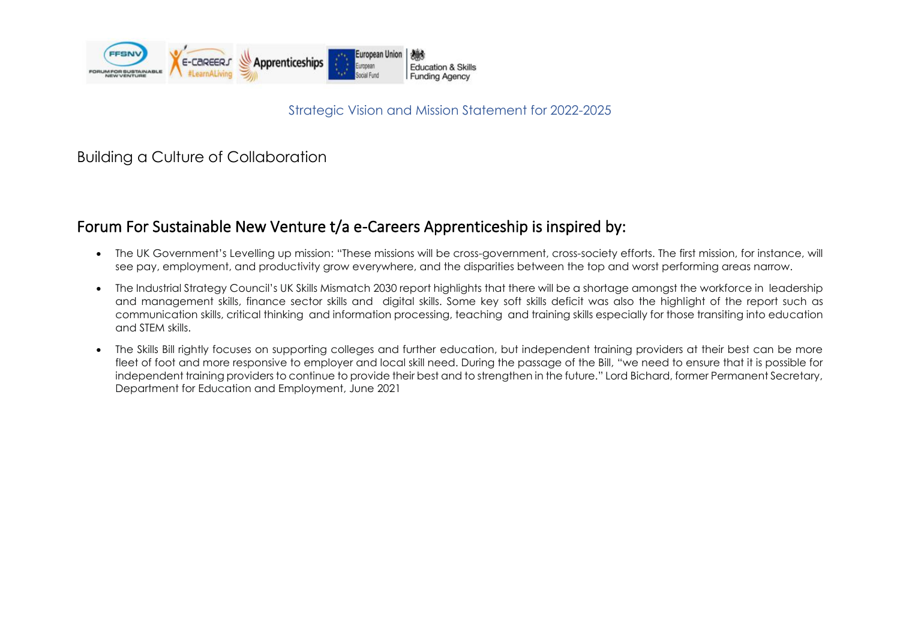

Strategic Vision and Mission Statement for 2022-2025

Building a Culture of Collaboration

### Forum For Sustainable New Venture t/a e-Careers Apprenticeship is inspired by:

- The UK Government's Levelling up mission: "These missions will be cross-government, cross-society efforts. The first mission, for instance, will see pay, employment, and productivity grow everywhere, and the disparities between the top and worst performing areas narrow.
- The Industrial Strategy Council's UK Skills Mismatch 2030 report highlights that there will be a shortage amongst the workforce in leadership and management skills, finance sector skills and digital skills. Some key soft skills deficit was also the highlight of the report such as communication skills, critical thinking and information processing, teaching and training skills especially for those transiting into education and STEM skills.
- The Skills Bill rightly focuses on supporting colleges and further education, but independent training providers at their best can be more fleet of foot and more responsive to employer and local skill need. During the passage of the Bill, "we need to ensure that it is possible for independent training providers to continue to provide their best and to strengthen in the future." Lord Bichard, former Permanent Secretary, Department for Education and Employment, June 2021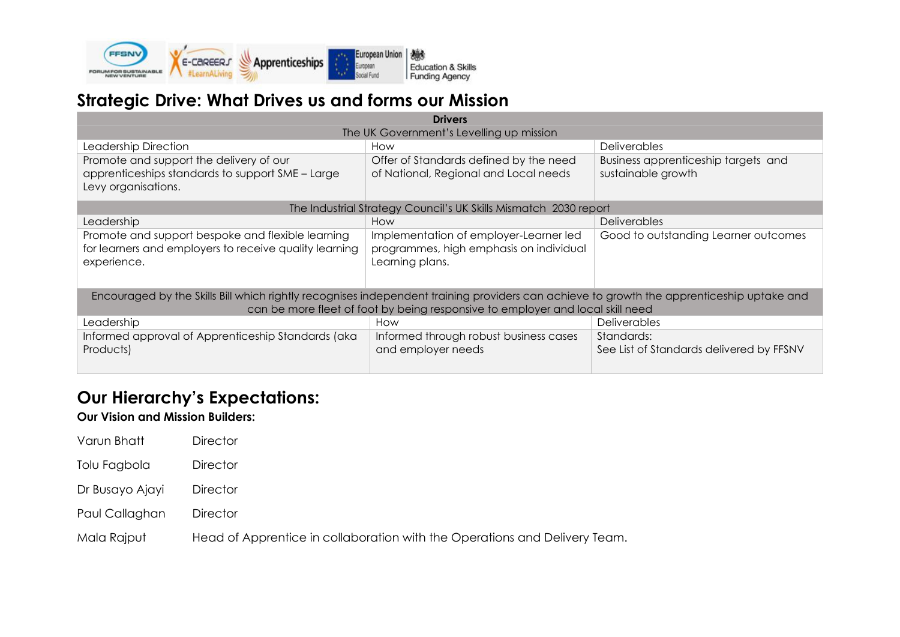

## **Strategic Drive: What Drives us and forms our Mission**

| <b>Drivers</b>                                                                                                                            |                                                                  |                                          |  |  |  |  |
|-------------------------------------------------------------------------------------------------------------------------------------------|------------------------------------------------------------------|------------------------------------------|--|--|--|--|
| The UK Government's Levelling up mission                                                                                                  |                                                                  |                                          |  |  |  |  |
| Leadership Direction                                                                                                                      | How                                                              | <b>Deliverables</b>                      |  |  |  |  |
| Promote and support the delivery of our                                                                                                   | Offer of Standards defined by the need                           | Business apprenticeship targets and      |  |  |  |  |
| apprenticeships standards to support SME - Large                                                                                          | of National, Regional and Local needs                            | sustainable growth                       |  |  |  |  |
| Levy organisations.                                                                                                                       |                                                                  |                                          |  |  |  |  |
|                                                                                                                                           | The Industrial Strategy Council's UK Skills Mismatch 2030 report |                                          |  |  |  |  |
| Leadership                                                                                                                                | How                                                              | <b>Deliverables</b>                      |  |  |  |  |
| Promote and support bespoke and flexible learning                                                                                         | Implementation of employer-Learner led                           | Good to outstanding Learner outcomes     |  |  |  |  |
| for learners and employers to receive quality learning                                                                                    | programmes, high emphasis on individual                          |                                          |  |  |  |  |
| experience.                                                                                                                               | Learning plans.                                                  |                                          |  |  |  |  |
|                                                                                                                                           |                                                                  |                                          |  |  |  |  |
| Encouraged by the Skills Bill which rightly recognises independent training providers can achieve to growth the apprenticeship uptake and |                                                                  |                                          |  |  |  |  |
| can be more fleet of foot by being responsive to employer and local skill need                                                            |                                                                  |                                          |  |  |  |  |
| Leadership                                                                                                                                | How                                                              | <b>Deliverables</b>                      |  |  |  |  |
| Informed approval of Apprenticeship Standards (aka                                                                                        | Informed through robust business cases                           | Standards:                               |  |  |  |  |
| Products)                                                                                                                                 | and employer needs                                               | See List of Standards delivered by FFSNV |  |  |  |  |
|                                                                                                                                           |                                                                  |                                          |  |  |  |  |

# **Our Hierarchy's Expectations:**

#### **Our Vision and Mission Builders:**

| Varun Bhatt     | <b>Director</b>                                                            |
|-----------------|----------------------------------------------------------------------------|
| Tolu Fagbola    | <b>Director</b>                                                            |
| Dr Busayo Ajayi | <b>Director</b>                                                            |
| Paul Callaghan  | <b>Director</b>                                                            |
| Mala Rajput     | Head of Apprentice in collaboration with the Operations and Delivery Team. |
|                 |                                                                            |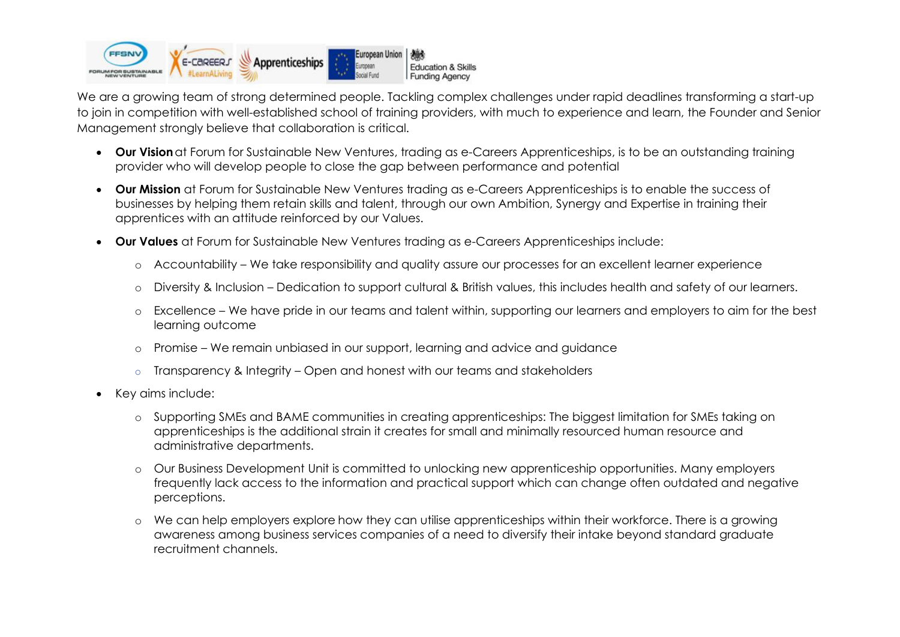

We are a growing team of strong determined people. Tackling complex challenges under rapid deadlines transforming a start-up to join in competition with well-established school of training providers, with much to experience and learn, the Founder and Senior Management strongly believe that collaboration is critical.

- **Our Vision**at Forum for Sustainable New Ventures, trading as e-Careers Apprenticeships, is to be an outstanding training provider who will develop people to close the gap between performance and potential
- **Our Mission** at Forum for Sustainable New Ventures trading as e-Careers Apprenticeships is to enable the success of businesses by helping them retain skills and talent, through our own Ambition, Synergy and Expertise in training their apprentices with an attitude reinforced by our Values.
- **Our Values** at Forum for Sustainable New Ventures trading as e-Careers Apprenticeships include:
	- o Accountability We take responsibility and quality assure our processes for an excellent learner experience
	- o Diversity & Inclusion Dedication to support cultural & British values, this includes health and safety of our learners.
	- o Excellence We have pride in our teams and talent within, supporting our learners and employers to aim for the best learning outcome
	- o Promise We remain unbiased in our support, learning and advice and guidance
	- $\circ$  Transparency & Integrity Open and honest with our teams and stakeholders
- Key aims include:
	- o Supporting SMEs and BAME communities in creating apprenticeships: The biggest limitation for SMEs taking on apprenticeships is the additional strain it creates for small and minimally resourced human resource and administrative departments.
	- o Our Business Development Unit is committed to unlocking new apprenticeship opportunities. Many employers frequently lack access to the information and practical support which can change often outdated and negative perceptions.
	- o We can help employers explore how they can utilise apprenticeships within their workforce. There is a growing awareness among business services companies of a need to diversify their intake beyond standard graduate recruitment channels.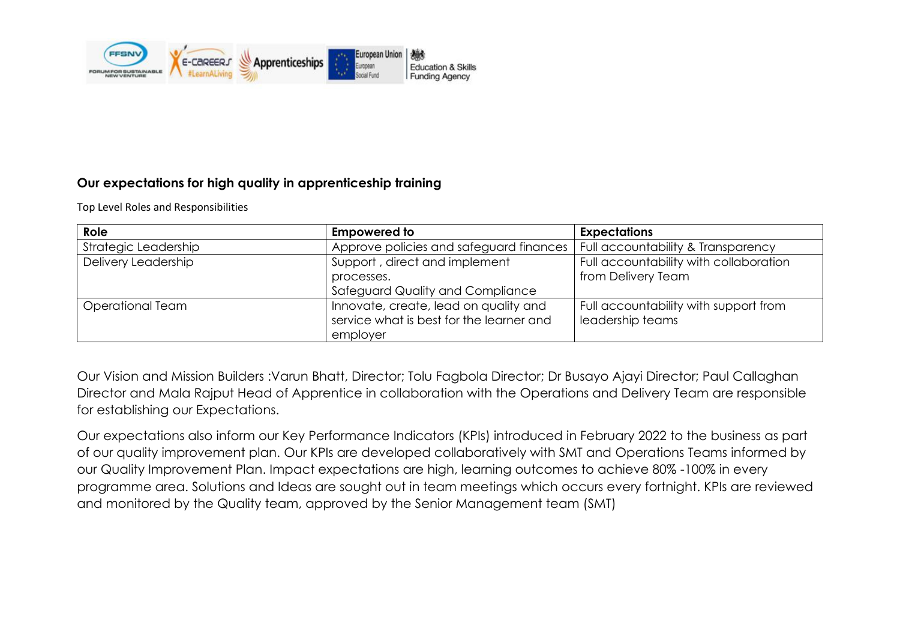

#### **Our expectations for high quality in apprenticeship training**

Top Level Roles and Responsibilities

| Role                 | <b>Empowered to</b>                                                               | <b>Expectations</b>                                       |
|----------------------|-----------------------------------------------------------------------------------|-----------------------------------------------------------|
| Strategic Leadership | Approve policies and safeguard finances                                           | Full accountability & Transparency                        |
| Delivery Leadership  | Support, direct and implement                                                     | Full accountability with collaboration                    |
|                      | processes.                                                                        | from Delivery Team                                        |
|                      | Safeguard Quality and Compliance                                                  |                                                           |
| Operational Team     | Innovate, create, lead on quality and<br>service what is best for the learner and | Full accountability with support from<br>leadership teams |
|                      | employer                                                                          |                                                           |

Our Vision and Mission Builders :Varun Bhatt, Director; Tolu Fagbola Director; Dr Busayo Ajayi Director; Paul Callaghan Director and Mala Rajput Head of Apprentice in collaboration with the Operations and Delivery Team are responsible for establishing our Expectations.

Our expectations also inform our Key Performance Indicators (KPIs) introduced in February 2022 to the business as part of our quality improvement plan. Our KPIs are developed collaboratively with SMT and Operations Teams informed by our Quality Improvement Plan. Impact expectations are high, learning outcomes to achieve 80% -100% in every programme area. Solutions and Ideas are sought out in team meetings which occurs every fortnight. KPIs are reviewed and monitored by the Quality team, approved by the Senior Management team (SMT)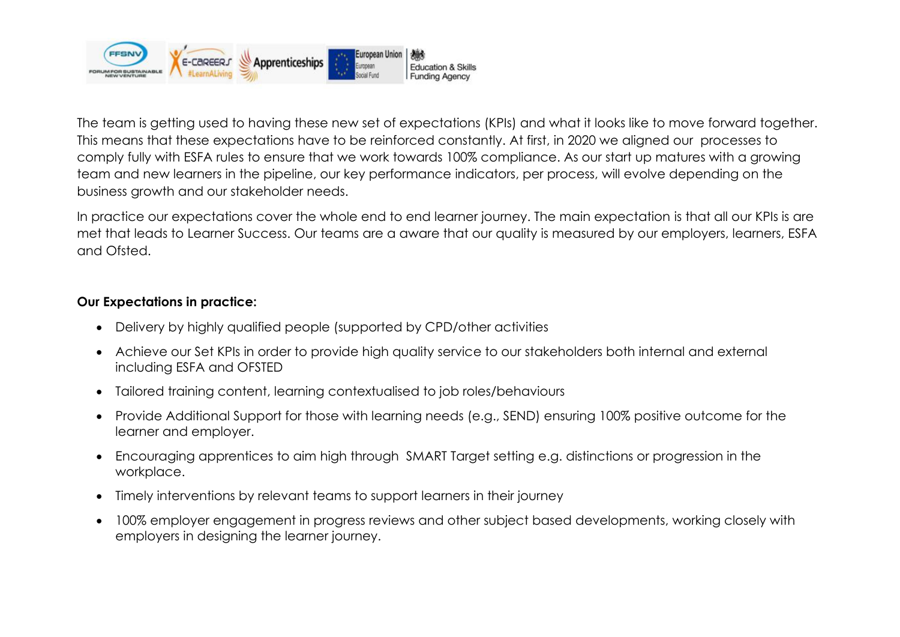

The team is getting used to having these new set of expectations (KPIs) and what it looks like to move forward together. This means that these expectations have to be reinforced constantly. At first, in 2020 we aligned our processes to comply fully with ESFA rules to ensure that we work towards 100% compliance. As our start up matures with a growing team and new learners in the pipeline, our key performance indicators, per process, will evolve depending on the business growth and our stakeholder needs.

In practice our expectations cover the whole end to end learner journey. The main expectation is that all our KPIs is are met that leads to Learner Success. Our teams are a aware that our quality is measured by our employers, learners, ESFA and Ofsted.

#### **Our Expectations in practice:**

- Delivery by highly qualified people (supported by CPD/other activities
- Achieve our Set KPIs in order to provide high quality service to our stakeholders both internal and external including ESFA and OFSTED
- Tailored training content, learning contextualised to job roles/behaviours
- Provide Additional Support for those with learning needs (e.g., SEND) ensuring 100% positive outcome for the learner and employer.
- Encouraging apprentices to aim high through SMART Target setting e.g. distinctions or progression in the workplace.
- Timely interventions by relevant teams to support learners in their journey
- 100% employer engagement in progress reviews and other subject based developments, working closely with employers in designing the learner journey.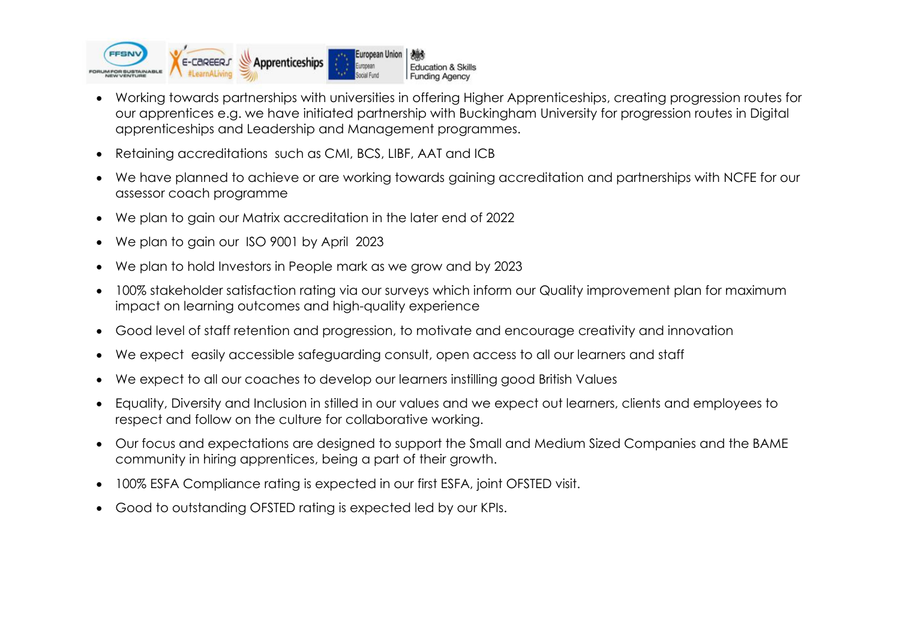

- Working towards partnerships with universities in offering Higher Apprenticeships, creating progression routes for our apprentices e.g. we have initiated partnership with Buckingham University for progression routes in Digital apprenticeships and Leadership and Management programmes.
- Retaining accreditations such as CMI, BCS, LIBF, AAT and ICB
- We have planned to achieve or are working towards gaining accreditation and partnerships with NCFE for our assessor coach programme
- We plan to gain our Matrix accreditation in the later end of 2022
- We plan to gain our ISO 9001 by April 2023
- We plan to hold Investors in People mark as we grow and by 2023
- 100% stakeholder satisfaction rating via our surveys which inform our Quality improvement plan for maximum impact on learning outcomes and high-quality experience
- Good level of staff retention and progression, to motivate and encourage creativity and innovation
- We expect easily accessible safeguarding consult, open access to all our learners and staff
- We expect to all our coaches to develop our learners instilling good British Values
- Equality, Diversity and Inclusion in stilled in our values and we expect out learners, clients and employees to respect and follow on the culture for collaborative working.
- Our focus and expectations are designed to support the Small and Medium Sized Companies and the BAME community in hiring apprentices, being a part of their growth.
- 100% ESFA Compliance rating is expected in our first ESFA, joint OFSTED visit.
- Good to outstanding OFSTED rating is expected led by our KPIs.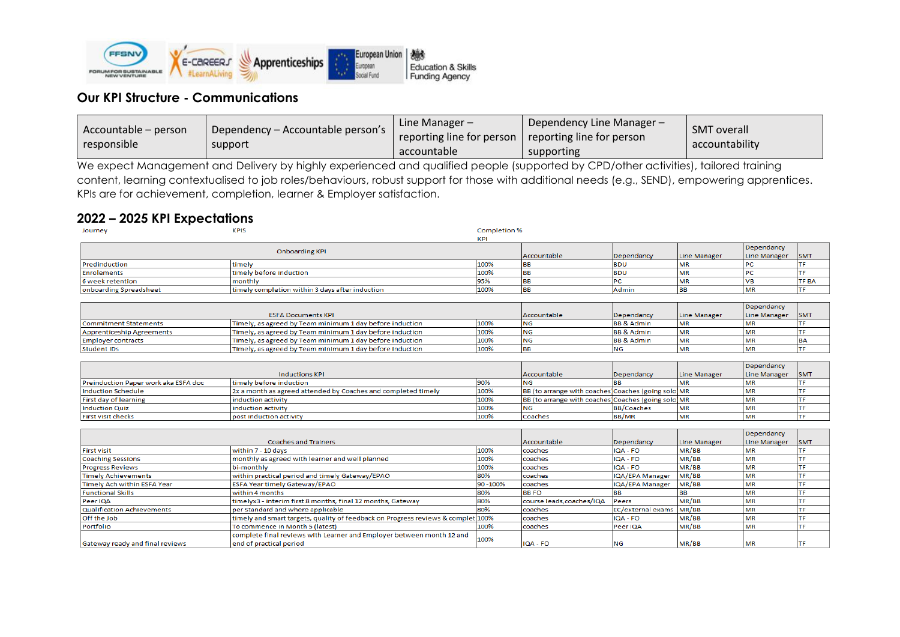

post induction activity

#### **Our KPI Structure - Communications**

| Line Manager $-$<br>Dependency – Accountable person's<br>Accountable – person<br>responsible<br>support<br>accountable | Dependency Line Manager $-\sqrt{ }$<br><b>SMT</b> overall<br>reporting line for person<br>reporting line for person<br>accountability<br>supporting |  |
|------------------------------------------------------------------------------------------------------------------------|-----------------------------------------------------------------------------------------------------------------------------------------------------|--|
|------------------------------------------------------------------------------------------------------------------------|-----------------------------------------------------------------------------------------------------------------------------------------------------|--|

We expect Management and Delivery by highly experienced and qualified people (supported by CPD/other activities), tailored training content, learning contextualised to job roles/behaviours, robust support for those with additional needs (e.g., SEND), empowering apprentices. KPIs are for achievement, completion, learner & Employer satisfaction.

#### **2022 – 2025 KPI Expectations**

**First visit checks** 

| Journey                              | <b>KPIS</b>                                                   | <b>Completion %</b> |                                                      |                       |              |              |            |
|--------------------------------------|---------------------------------------------------------------|---------------------|------------------------------------------------------|-----------------------|--------------|--------------|------------|
|                                      |                                                               | KPI                 |                                                      |                       |              |              |            |
|                                      |                                                               |                     |                                                      |                       |              | Dependancy   |            |
|                                      | <b>Onboarding KPI</b>                                         |                     | Accountable                                          | Dependancy            | Line Manager | Line Manager | <b>SMT</b> |
| Predinduction                        | timely                                                        | 100%                | <b>BB</b>                                            | <b>BDU</b>            | <b>MR</b>    | PC           |            |
| Enrolements                          | timely before induction                                       | 100%                | <b>BB</b>                                            | <b>BDU</b>            | <b>MR</b>    | DC           |            |
| 6 week retention                     | monthly                                                       | 95%                 | <b>BB</b>                                            | РC                    | MR           | VB           | TF BA      |
| onboarding Spreadsheet               | timely completion within 3 days after induction               | 100%                | <b>BB</b>                                            | Admin                 | <b>BB</b>    | MR           | TF         |
|                                      |                                                               |                     |                                                      |                       |              |              |            |
|                                      |                                                               |                     |                                                      |                       |              | Dependancy   |            |
|                                      | <b>ESFA Documents KPI</b>                                     |                     | Accountable                                          | Dependancy            | Line Manager | Line Manager | <b>SMT</b> |
| Commitment Statements                | Timely, as agreed by Team minimum 1 day before induction      | 100%                | <b>NG</b>                                            | <b>BB &amp; Admin</b> | <b>MR</b>    | <b>MR</b>    |            |
| Apprenticeship Agreements            | Timely, as agreed by Team minimum 1 day before induction      | 100%                | <b>NG</b>                                            | <b>BB &amp; Admin</b> | <b>MR</b>    | <b>MR</b>    |            |
| Employer contracts                   | Timely, as agreed by Team minimum 1 day before induction      | 100%                | <b>NG</b>                                            | <b>BB &amp; Admin</b> | <b>MR</b>    | MR           | <b>BA</b>  |
| <b>Student IDs</b>                   | Timely, as agreed by Team minimum 1 day before induction      | 100%                | <b>BB</b>                                            | <b>NG</b>             | <b>MR</b>    | <b>MR</b>    | <b>TF</b>  |
|                                      |                                                               |                     |                                                      |                       |              |              |            |
|                                      |                                                               |                     |                                                      |                       |              | Dependancy   |            |
|                                      | <b>Inductions KPI</b>                                         |                     | Accountable                                          | Dependancy            | Line Manager | Line Manager | <b>SMT</b> |
| Preinduction Paper work aka ESFA doc | timely before induction                                       | 90%                 | <b>NG</b>                                            |                       | <b>MR</b>    | <b>MR</b>    |            |
| Induction Schedule                   | 2x a month as agreed attended by Coaches and completed timely | 100%                | BB (to arrange with coaches) Coaches (going solo) MR |                       |              | <b>MR</b>    |            |
| First day of learning                | induction activity                                            | 100%                | BB (to arrange with coaches Coaches (going solo) MR  |                       |              | <b>MR</b>    |            |
| <b>Induction Quiz</b>                | induction activity                                            | 100%                | <b>NG</b>                                            | <b>BB/Coaches</b>     | <b>MR</b>    | <b>MR</b>    | TF         |

|                                 |                                                                                  |      |                           |                         |              | Dependancy   |            |
|---------------------------------|----------------------------------------------------------------------------------|------|---------------------------|-------------------------|--------------|--------------|------------|
| <b>Coaches and Trainers</b>     |                                                                                  |      | Accountable               | Dependancy              | Line Manager | Line Manager | <b>SMT</b> |
| <b>First visit</b>              | within 7 - 10 days                                                               | 100% | coaches                   | IQA - FO                | MR/BB        | <b>MR</b>    |            |
| <b>Coaching Sessions</b>        | monthly as agreed with learner and well planned                                  | 100% | coaches                   | $IOA - FO$              | MR/BB        | <b>MR</b>    | ΤF         |
| <b>Progress Reviews</b>         | bi-monthly                                                                       | 100% | coaches                   | $IOA - FO$              | MR/BB        | <b>MR</b>    | ΤF         |
| Timely Achievements             | within practical period and timely Gateway/EPAO                                  | 80%  | coaches                   | IQA/EPA Manager         | MR/BB        | <b>MR</b>    |            |
| Timely Ach within ESFA Year     | <b>ESFA Year timely Gateway/EPAO</b><br>90 - 100%                                |      | coaches                   | IQA/EPA Manager         | MR/BB        | <b>MR</b>    |            |
| <b>Functional Skills</b>        | within 4 months<br>80%                                                           |      | <b>BBFO</b>               |                         |              | <b>MR</b>    |            |
| <b>Peer IOA</b>                 | timelyx3 - interim first 8 months, final 12 months, Gateway<br>80%               |      | course leads, coaches/IQA | <b>Peers</b>            | MR/BB        | <b>MR</b>    | TF.        |
| Qualification Achievements      | per Standard and where applicable<br>80%                                         |      | coaches                   | EC/external exams MR/BB |              | <b>MR</b>    |            |
| <b>Off the Job</b>              | timely and smart targets, quality of feedback on Progress reviews & complet 100% |      | coaches                   | IIQA - FO               | MR/BB        | <b>MR</b>    |            |
| Portfolio                       | To commence in Month 5 (latest)<br>100%                                          |      | coaches                   | Peer IQA                | MR/BB        | <b>MR</b>    | ΤF         |
|                                 | complete final reviews with Learner and Employer between month 12 and            |      |                           |                         |              |              |            |
| Gateway ready and final reviews | end of practical period                                                          | 100% | IQA - FO                  | <b>NG</b>               | MR/BB        | <b>MR</b>    | TF         |

100%

Coaches

**BB/MR** 

MR

 $\overline{\mathsf{MR}}$ 

**TF**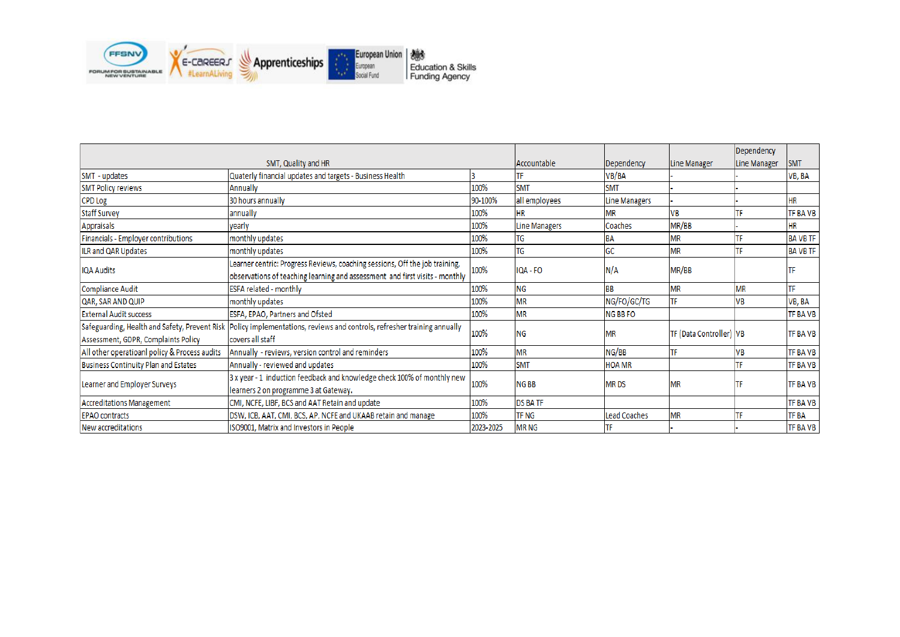

|                                               |                                                                             |                  |                |                 |                                | Dependency |                 |
|-----------------------------------------------|-----------------------------------------------------------------------------|------------------|----------------|-----------------|--------------------------------|------------|-----------------|
| SMT, Quality and HR                           |                                                                             | Accountable      | Dependency     | Line Manager    | Line Manager                   | <b>SMT</b> |                 |
| SMT - updates                                 | Quaterly financial updates and targets - Business Health                    |                  | TF             | VB/BA           |                                |            | VB, BA          |
| <b>SMT Policy reviews</b>                     | Annually                                                                    | 100%             | <b>SMT</b>     | <b>SMT</b>      |                                |            |                 |
| <b>CPD Log</b>                                | 30 hours annually                                                           | 90-100%          | all employees  | Line Managers   |                                |            | <b>HR</b>       |
| <b>Staff Survey</b>                           | annually                                                                    | 100%             | <b>HR</b>      | MR              | VB                             |            | <b>TF BA VB</b> |
| Appraisals                                    | yearly                                                                      | 100%             | Line Managers  | Coaches         | MR/BB                          |            | <b>HR</b>       |
| Financials - Employer contributions           | monthly updates                                                             | 100%             | TG             | <b>BA</b>       | <b>MR</b>                      |            | <b>BA VB TF</b> |
| ILR and QAR Updates                           | monthly updates                                                             | 100%             | TG             | GC              | <b>MR</b>                      | TF         | <b>BAVBTF</b>   |
|                                               | Learner centric: Progress Reviews, coaching sessions, Off the job training, | 100%<br>IQA - FO |                | N/A             | MR/BB                          |            |                 |
| <b>IQA Audits</b>                             | observations of teaching learning and assessment and first visits - monthly |                  |                |                 |                                |            | ΠF              |
| Compliance Audit                              | <b>ESFA related - monthly</b>                                               | 100%             | <b>NG</b>      | BB              | <b>MR</b>                      | <b>MR</b>  | ΤF              |
| QAR, SAR AND QUIP                             | monthly updates                                                             | 100%             | <b>MR</b>      | NG/FO/GC/TG     | TF                             | VB         | VB, BA          |
| <b>External Audit success</b>                 | ESFA, EPAO, Partners and Ofsted                                             | 100%             | <b>MR</b>      | <b>NG BB FO</b> |                                |            | <b>TF BA VB</b> |
| Safeguarding, Health and Safety, Prevent Risk | Policy implementations, reviews and controls, refresher training annually   |                  |                |                 |                                |            |                 |
| Assessment, GDPR, Complaints Policy           | covers all staff                                                            | 100%             | <b>NG</b>      | <b>MR</b>       | <b>TF (Data Controller) VB</b> |            | <b>TF BA VB</b> |
| All other operatioanl policy & Process audits | Annually - reviews, version control and reminders                           | 100%             | <b>MR</b>      | NG/BB           | TF                             | VB         | <b>TF BAVB</b>  |
| Business Continuity Plan and Estates          | Annually - reviewed and updates                                             | 100%             | <b>SMT</b>     | <b>HOA MR</b>   |                                |            | <b>TF BAVB</b>  |
| Learner and Employer Surveys                  | 3 x year - 1 induction feedback and knowledge check 100% of monthly new     |                  | <b>NGBB</b>    | <b>MRDS</b>     |                                |            |                 |
|                                               | learners 2 on programme 3 at Gateway.                                       | 100%             |                |                 | <b>MR</b>                      | TF         | <b>TF BAVB</b>  |
| <b>Accreditations Management</b>              | CMI, NCFE, LIBF, BCS and AAT Retain and update                              | 100%             | <b>DS BATF</b> |                 |                                |            | <b>TF BAVB</b>  |
| <b>EPAO</b> contracts                         | DSW, ICB, AAT, CMI, BCS, AP, NCFE and UKAAB retain and manage               | 100%             | <b>TF NG</b>   | Lead Coaches    | <b>MR</b>                      | TF         | <b>TF BA</b>    |
| New accreditations                            | ISO9001, Matrix and Investors in People                                     | 2023-2025        | <b>MRNG</b>    |                 |                                |            | <b>TF BA VB</b> |